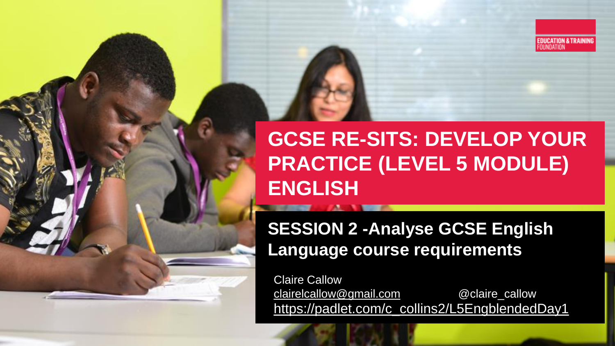

#### **GCSE RE-SITS: DEVELOP YOUR PRACTICE (LEVEL 5 MODULE) ENGLISH**

#### **SESSION 2 -Analyse GCSE English Language course requirements**

Claire Callow [clairelcallow@gmail.com](mailto:clairelcallow@gmail.com) @claire\_callow [https://padlet.com/c\\_collins2/L5EngblendedDay1](https://padlet.com/c_collins2/L5EngblendedDay1)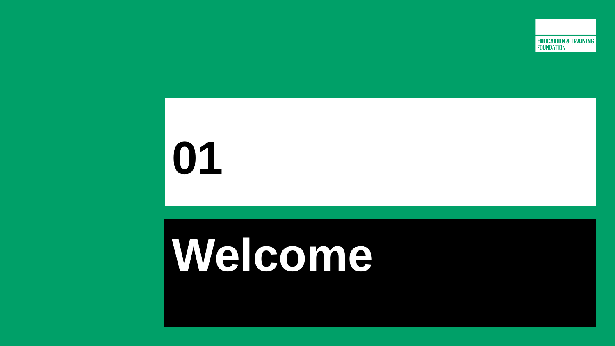

# **Welcome**

**01**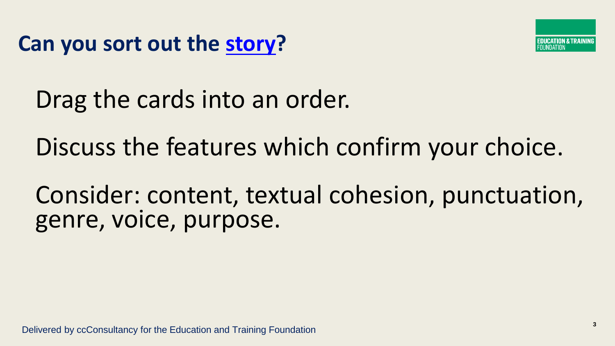**Can you sort out the [story?](https://docs.google.com/presentation/d/1q5unaqq5TigE3RZSPc8F2KegMlFlU7vsMMMiVop46Gg/edit#slide=id.p)**



Drag the cards into an order.

Discuss the features which confirm your choice.

Consider: content, textual cohesion, punctuation, genre, voice, purpose.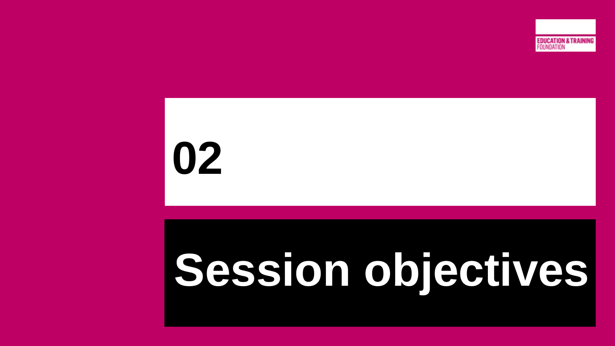

# **Session objectives**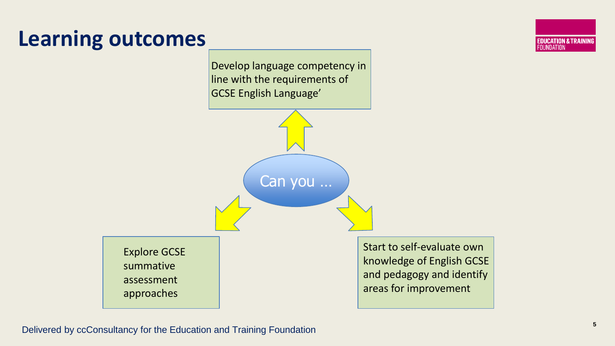#### **Learning outcomes**

Develop language competency in line with the requirements of GCSE English Language'

Can you …

Explore GCSE summative assessment approaches

Start to self-evaluate own knowledge of English GCSE and pedagogy and identify areas for improvement

**EDUCATION & TRAINING**<br>FOUNDATION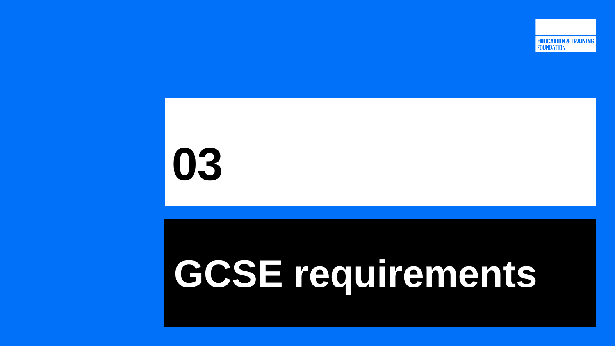

### **GCSE requirements**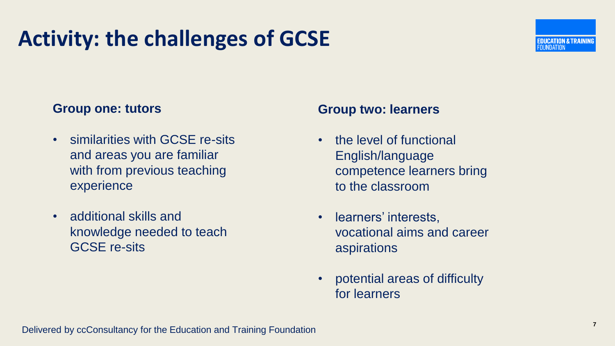#### **Activity: the challenges of GCSE**

#### **Group one: tutors**

- similarities with GCSE re-sits and areas you are familiar with from previous teaching experience
- additional skills and knowledge needed to teach GCSE re-sits

#### **Group two: learners**

- the level of functional English/language competence learners bring to the classroom
- learners' interests, vocational aims and career aspirations
- potential areas of difficulty for learners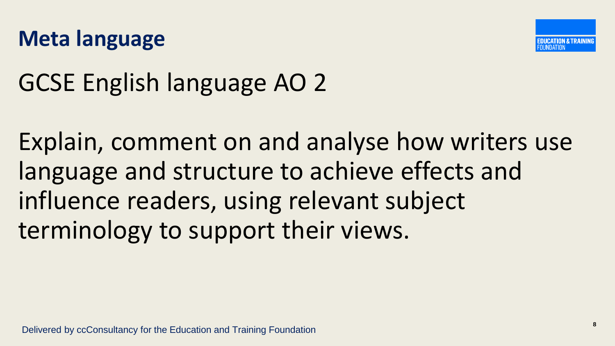



### GCSE English language AO 2

Explain, comment on and analyse how writers use language and structure to achieve effects and influence readers, using relevant subject terminology to support their views.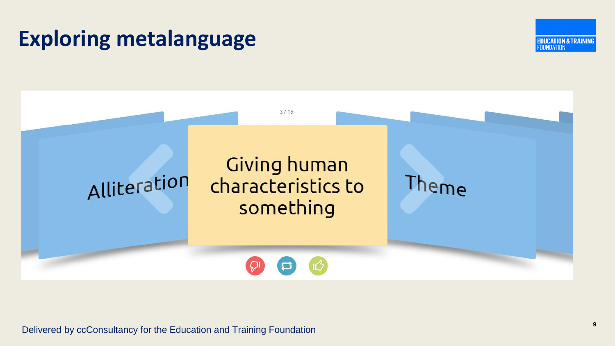#### **Exploring metalanguage**





Delivered by ccConsultancy for the Education and Training Foundation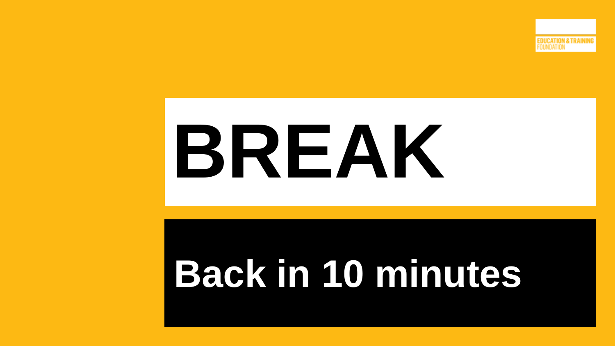

# **BREAK**

### **Back in 10 minutes**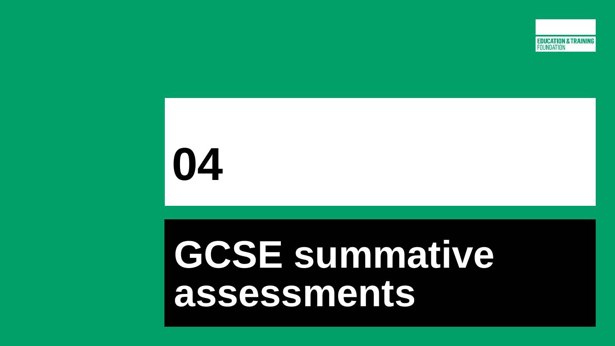

### **GCSE summative assessments**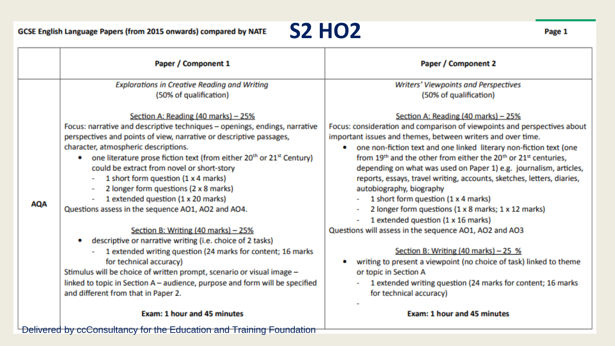

|                                                                      | Paper / Component 1                                                                                                                                                                                                                                                                                                                                                                                                                                                                                                                                                                                                                                                                                                                                                                                                                                                                                                                                               | Paper / Component 2                                                                                                                                                                                                                                                                                                                                                                                                                                                                                                                                                                                                                                                                                                                                                                                                                                                                                                                                                   |
|----------------------------------------------------------------------|-------------------------------------------------------------------------------------------------------------------------------------------------------------------------------------------------------------------------------------------------------------------------------------------------------------------------------------------------------------------------------------------------------------------------------------------------------------------------------------------------------------------------------------------------------------------------------------------------------------------------------------------------------------------------------------------------------------------------------------------------------------------------------------------------------------------------------------------------------------------------------------------------------------------------------------------------------------------|-----------------------------------------------------------------------------------------------------------------------------------------------------------------------------------------------------------------------------------------------------------------------------------------------------------------------------------------------------------------------------------------------------------------------------------------------------------------------------------------------------------------------------------------------------------------------------------------------------------------------------------------------------------------------------------------------------------------------------------------------------------------------------------------------------------------------------------------------------------------------------------------------------------------------------------------------------------------------|
|                                                                      | <b>Explorations in Creative Reading and Writing</b>                                                                                                                                                                                                                                                                                                                                                                                                                                                                                                                                                                                                                                                                                                                                                                                                                                                                                                               | <b>Writers' Viewpoints and Perspectives</b>                                                                                                                                                                                                                                                                                                                                                                                                                                                                                                                                                                                                                                                                                                                                                                                                                                                                                                                           |
|                                                                      | (50% of qualification)                                                                                                                                                                                                                                                                                                                                                                                                                                                                                                                                                                                                                                                                                                                                                                                                                                                                                                                                            | (50% of qualification)                                                                                                                                                                                                                                                                                                                                                                                                                                                                                                                                                                                                                                                                                                                                                                                                                                                                                                                                                |
| <b>AQA</b>                                                           | Section A: Reading (40 marks) - 25%<br>Focus: narrative and descriptive techniques - openings, endings, narrative<br>perspectives and points of view, narrative or descriptive passages,<br>character, atmospheric descriptions.<br>one literature prose fiction text (from either 20 <sup>th</sup> or 21 <sup>st</sup> Century)<br>۰<br>could be extract from novel or short-story<br>1 short form question (1 x 4 marks)<br>2 longer form questions (2 x 8 marks)<br>1 extended question (1 x 20 marks)<br>Questions assess in the sequence AO1, AO2 and AO4.<br>Section B: Writing (40 marks) - 25%<br>descriptive or narrative writing (i.e. choice of 2 tasks)<br>۰<br>1 extended writing question (24 marks for content; 16 marks<br>for technical accuracy)<br>Stimulus will be choice of written prompt, scenario or visual image -<br>linked to topic in Section A - audience, purpose and form will be specified<br>and different from that in Paper 2. | Section A: Reading (40 marks) - 25%<br>Focus: consideration and comparison of viewpoints and perspectives about<br>important issues and themes, between writers and over time.<br>one non-fiction text and one linked literary non-fiction text (one<br>from 19 <sup>th</sup> and the other from either the 20 <sup>th</sup> or 21 <sup>st</sup> centuries.<br>depending on what was used on Paper 1) e.g. journalism, articles,<br>reports, essays, travel writing, accounts, sketches, letters, diaries,<br>autobiography, biography<br>1 short form question (1 x 4 marks)<br>2 longer form questions (1 x 8 marks; 1 x 12 marks)<br>1 extended question (1 x 16 marks)<br>Questions will assess in the sequence AO1, AO2 and AO3<br>Section B: Writing (40 marks) - 25 %<br>writing to present a viewpoint (no choice of task) linked to theme<br>or topic in Section A<br>1 extended writing question (24 marks for content; 16 marks<br>for technical accuracy) |
|                                                                      | <b>Exam: 1 hour and 45 minutes</b>                                                                                                                                                                                                                                                                                                                                                                                                                                                                                                                                                                                                                                                                                                                                                                                                                                                                                                                                | <b>Exam: 1 hour and 45 minutes</b>                                                                                                                                                                                                                                                                                                                                                                                                                                                                                                                                                                                                                                                                                                                                                                                                                                                                                                                                    |
| Delivered by ccConsultancy for the Education and Training Foundation |                                                                                                                                                                                                                                                                                                                                                                                                                                                                                                                                                                                                                                                                                                                                                                                                                                                                                                                                                                   |                                                                                                                                                                                                                                                                                                                                                                                                                                                                                                                                                                                                                                                                                                                                                                                                                                                                                                                                                                       |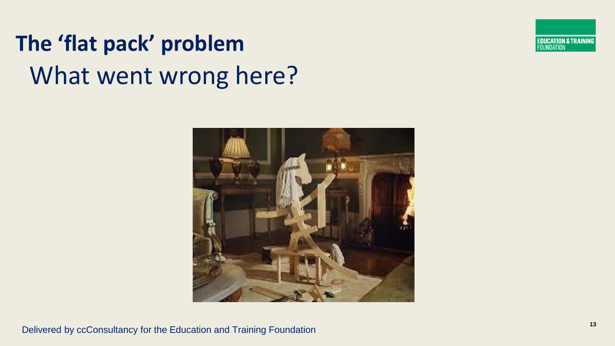### What went wrong here? **The 'flat pack' problem**



**<sup>13</sup>** Delivered by ccConsultancy for the Education and Training Foundation

**EDUCATION & TRAINING**<br>FOUNDATION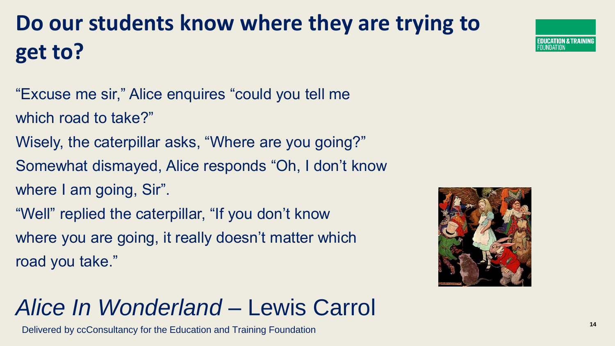#### **Do our students know where they are trying to get to?**

- "Excuse me sir," Alice enquires "could you tell me which road to take?"
- Wisely, the caterpillar asks, "Where are you going?"
- Somewhat dismayed, Alice responds "Oh, I don't know
- where I am going, Sir".
- "Well" replied the caterpillar, "If you don't know where you are going, it really doesn't matter which road you take."



#### *Alice In Wonderland* – Lewis Carrol

**<sup>14</sup>** Delivered by ccConsultancy for the Education and Training Foundation

**DUCATION & TRAINING**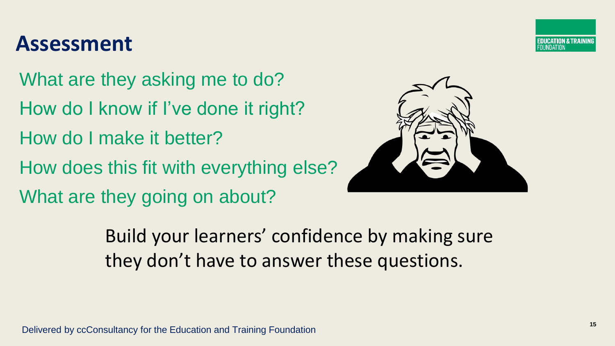#### **DUCATION & TRAINING** NDATION

#### **Assessment**

What are they asking me to do? How do I know if I've done it right? How do I make it better? How does this fit with everything else? What are they going on about?



Build your learners' confidence by making sure they don't have to answer these questions.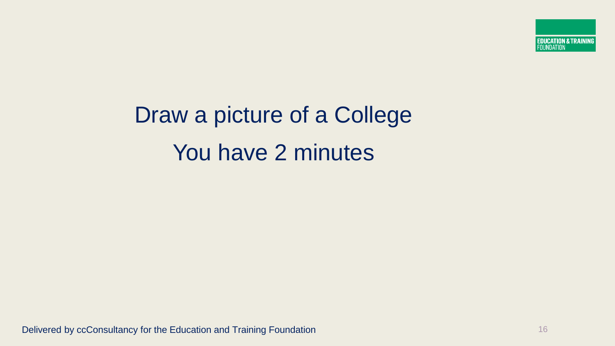### Draw a picture of a College You have 2 minutes

Delivered by ccConsultancy for the Education and Training Foundation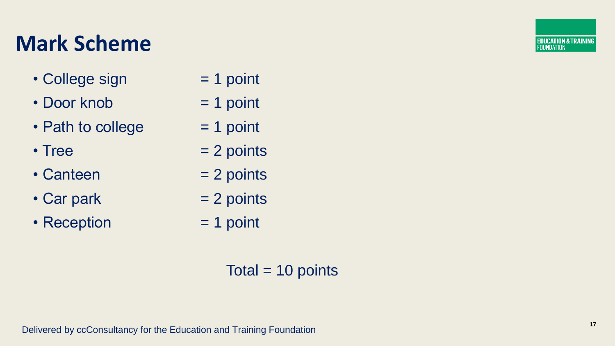#### **Mark Scheme**

- $\cdot$  College sign  $= 1$  point
- $\cdot$  Door knob  $= 1$  point
- Path to college  $= 1$  point
- 
- $\bullet$  Canteen  $= 2$  points
- Car park  $= 2$  points
- Reception  $= 1$  point
- 
- 
- 
- Tree  $= 2$  points
	-
	-
	-

Total  $= 10$  points

**EDUCATION & TRAINING**<br>FOUNDATION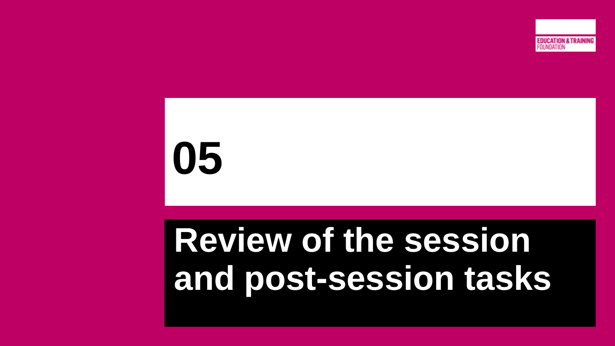

### **Review of the session and post-session tasks**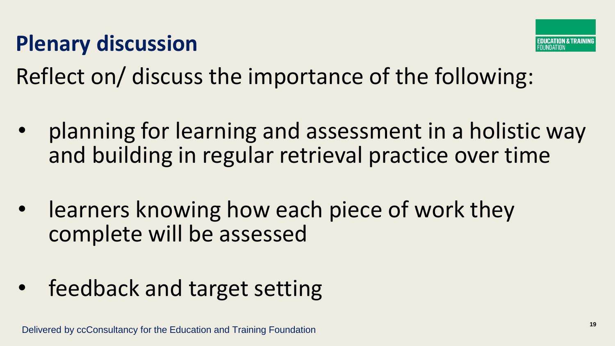#### **Plenary discussion**



Reflect on/ discuss the importance of the following:

- planning for learning and assessment in a holistic way and building in regular retrieval practice over time
- learners knowing how each piece of work they complete will be assessed
- feedback and target setting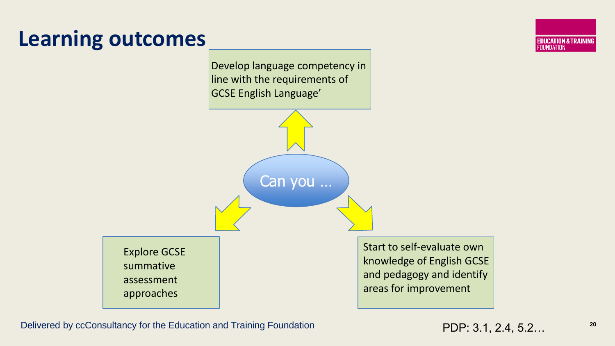#### **Learning outcomes**

Develop language competency in line with the requirements of GCSE English Language'

Can you …

Explore GCSE summative assessment approaches

Start to self-evaluate own knowledge of English GCSE and pedagogy and identify areas for improvement

Delivered by ccConsultancy for the Education and Training Foundation **20 PDP: 3.1, 2.4, 5.2...** <sup>20</sup>

**EDUCATION & TRAINING**<br>FOUNDATION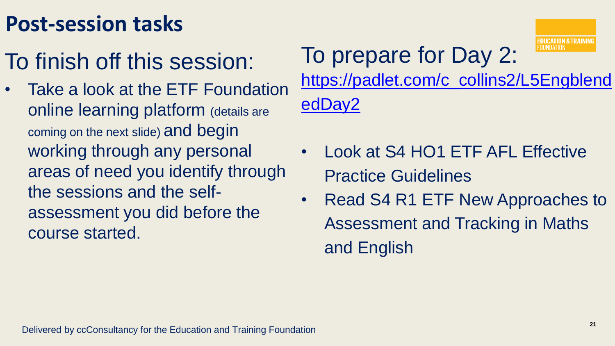#### **Post-session tasks**

- To finish off this session:
- Take a look at the ETF Foundation online learning platform (details are coming on the next slide) and begin working through any personal areas of need you identify through the sessions and the selfassessment you did before the course started.

### To prepare for Day 2:



[https://padlet.com/c\\_collins2/L5Engblend](https://padlet.com/c_collins2/L5EngblendedDay2) edDay2

- Look at S4 HO1 ETF AFL Effective Practice Guidelines
- Read S4 R1 ETF New Approaches to Assessment and Tracking in Maths and English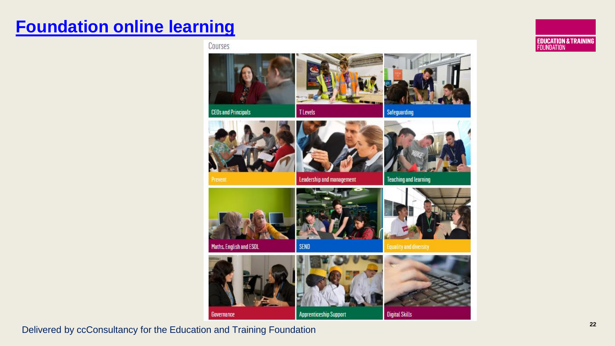#### **[Foundation online learning](https://www.foundationonline.org.uk/)**





Delivered by ccConsultancy for the Education and Training Foundation